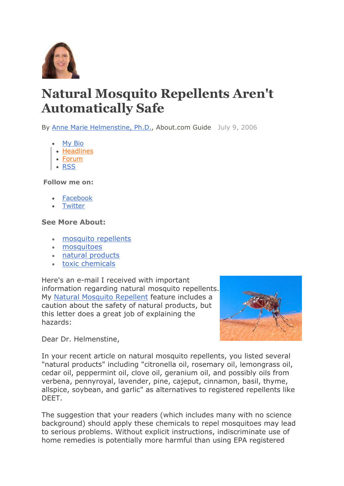

## **Natural Mosquito Repellents Aren't Automatically Safe**

By [Anne Marie Helmenstine, Ph.D.,](http://chemistry.about.com/bio/Anne-Marie-Helmenstine-Ph-D-7815.htm) About.com Guide July 9, 2006

- [My Bio](http://chemistry.about.com/bio/Anne-Marie-Helmenstine-Ph-D-7815.htm)
- [Headlines](http://chemistry.about.com/b/)
- [Forum](http://forums.about.com/ab-chemistry)
- [RSS](http://chemistry.about.com/gi/pages/stay.htm#rs)

**Follow me on:**

- [Facebook](http://www.facebook.com/pages/Aboutcom-Chemistry/244818558903541)
- **[Twitter](http://twitter.com/#!/About_Chemistry)**

## **See More About:**

- [mosquito repellents](http://chemistry.about.com/lr/mosquito_repellents/957998/1/)
- [mosquitoes](http://chemistry.about.com/lr/mosquitoes/957998/2/)
- [natural products](http://chemistry.about.com/lr/natural_products/957998/3/)
- [toxic chemicals](http://chemistry.about.com/lr/toxic_chemicals/957998/4/)

Here's an e-mail I received with important information regarding natural mosquito repellents. My [Natural Mosquito Repellent](http://chemistry.about.com/cs/howthingswork/a/aa050503a.htm) feature includes a caution about the safety of natural products, but this letter does a great job of explaining the hazards:



Dear Dr. Helmenstine,

In your recent article on natural mosquito repellents, you listed several "natural products" including "citronella oil, rosemary oil, lemongrass oil, cedar oil, peppermint oil, clove oil, geranium oil, and possibly oils from verbena, pennyroyal, lavender, pine, cajeput, cinnamon, basil, thyme, allspice, soybean, and garlic" as alternatives to registered repellents like DEET.

The suggestion that your readers (which includes many with no science background) should apply these chemicals to repel mosquitoes may lead to serious problems. Without explicit instructions, indiscriminate use of home remedies is potentially more harmful than using EPA registered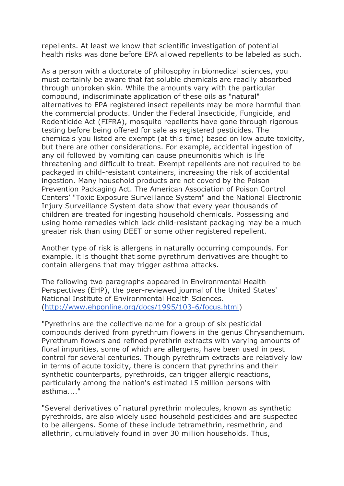repellents. At least we know that scientific investigation of potential health risks was done before EPA allowed repellents to be labeled as such.

As a person with a doctorate of philosophy in biomedical sciences, you must certainly be aware that fat soluble chemicals are readily absorbed through unbroken skin. While the amounts vary with the particular compound, indiscriminate application of these oils as "natural" alternatives to EPA registered insect repellents may be more harmful than the commercial products. Under the Federal Insecticide, Fungicide, and Rodenticide Act (FIFRA), mosquito repellents have gone through rigorous testing before being offered for sale as registered pesticides. The chemicals you listed are exempt (at this time) based on low acute toxicity, but there are other considerations. For example, accidental ingestion of any oil followed by vomiting can cause pneumonitis which is life threatening and difficult to treat. Exempt repellents are not required to be packaged in child-resistant containers, increasing the risk of accidental ingestion. Many household products are not coverd by the Poison Prevention Packaging Act. The American Association of Poison Control Centers' "Toxic Exposure Surveillance System" and the National Electronic Injury Surveillance System data show that every year thousands of children are treated for ingesting household chemicals. Possessing and using home remedies which lack child-resistant packaging may be a much greater risk than using DEET or some other registered repellent.

Another type of risk is allergens in naturally occurring compounds. For example, it is thought that some pyrethrum derivatives are thought to contain allergens that may trigger asthma attacks.

The following two paragraphs appeared in Environmental Health Perspectives (EHP), the peer-reviewed journal of the United States' National Institute of Environmental Health Sciences. [\(http://www.ehponline.org/docs/1995/103-6/focus.html\)](http://www.ehponline.org/docs/1995/103-6/focus.html)

"Pyrethrins are the collective name for a group of six pesticidal compounds derived from pyrethrum flowers in the genus Chrysanthemum. Pyrethrum flowers and refined pyrethrin extracts with varying amounts of floral impurities, some of which are allergens, have been used in pest control for several centuries. Though pyrethrum extracts are relatively low in terms of acute toxicity, there is concern that pyrethrins and their synthetic counterparts, pyrethroids, can trigger allergic reactions, particularly among the nation's estimated 15 million persons with asthma...."

"Several derivatives of natural pyrethrin molecules, known as synthetic pyrethroids, are also widely used household pesticides and are suspected to be allergens. Some of these include tetramethrin, resmethrin, and allethrin, cumulatively found in over 30 million households. Thus,